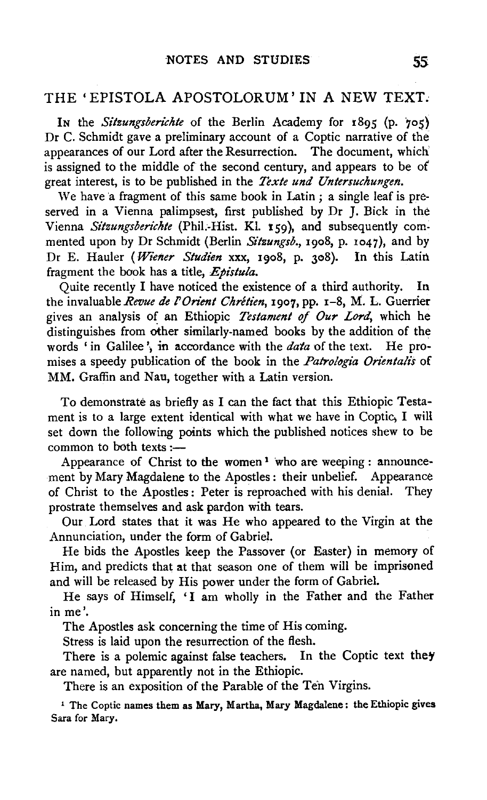## THE 'EPISTOLA APOSTOLORUM' IN A NEW TEXT.

In the *Sitzungsberichte* of the Berlin Academy for 1895 (p. 705) Dr C. Schmidt gave a preliminary account of a Coptic narrative of the appearances of our Lord after the Resurrection. The document, which' is assigned to the middle of the second century, and appears to be of great interest, is to be published in the *Texte und Untersuchungen.* 

We have a fragment of this same book in Latin ; a single leaf is preserved in a Vienna palimpsest, first published by Dr J. Bick in the Vienna *Sitzungsberichte* (Phil.-Hist. Kl. 159), and subsequently commented upon by Dr Schmidt (Berlin *Sitzungsb.,* 1908, p. 1047), and by Dr E. Hauler ( *Wiener Studien* xxx, 19o8, p. 308). In this Latin fragment the book has a title, *Epistula*.

Quite recently I have noticed the existence of a third authority. In the invaluable *Revue de /'Orient Chretien,* 1907, pp. x-8, M. L. Guerrier gives an analysis of an Ethiopic *Testament of Our Lord,* which he distinguishes from other similarly-named books by the addition of the words 'in Galilee', in accordance with the *data* of the text. He prowords 'in Galilee', in accordance with the *data* of the text. He promises a speedy publication of the book in the *Patrolbgia Orientalis* of MM. Graffin and Nau, together with a Latin version.

To demonstrate as briefly as I can the fact that this Ethiopic Testament is to a large extent identical with what we have in Coptic, I will set down the following points which the published notices shew to be common to both texts :-

Appearance of Christ to the women<sup>1</sup> who are weeping : announcement by Mary Magdalene to the Apostles: their unbelief. Appearance of Christ to the Apostles: Peter is reproached with his denial. They prostrate themselves and ask pardon with tears.

Our Lord states that it was He who appeared to the Virgin at the Annunciation, under the form of Gabriel.

He bids the Apostles keep the Passover (or Easter) in memory of Him, and predicts that at that season one of them will be imprisoned and will be released by His power under the form of Gabriel.

He says of Himself, 'I am wholly in the Father and the Father in me'.

The Apostles ask concerning the time of His coming.

Stress is laid upon the resurrection of the flesh.

There is a polemic against false teachers. In the Coptic text they are named, but apparently not in the Ethiopic.

There is an exposition of the Parable of the Ten Virgins.

<sup>1</sup> The Coptic names them as Mary, Martha, Mary Magdalene: the Ethiopic gives Sara for Mary.